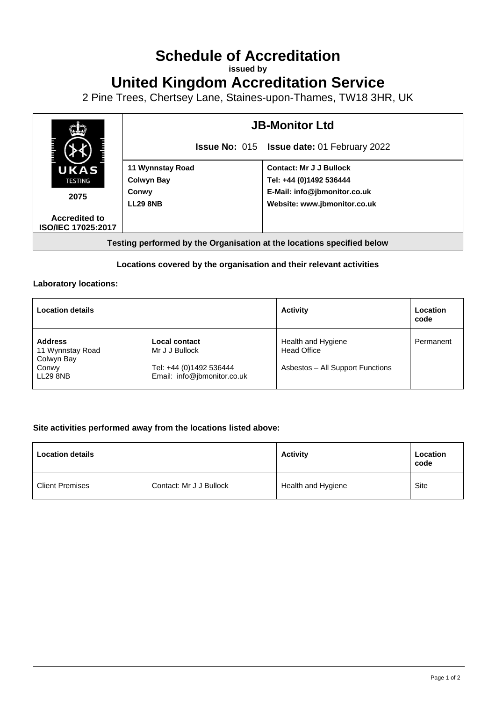# **Schedule of Accreditation**

**issued by**

**United Kingdom Accreditation Service**

2 Pine Trees, Chertsey Lane, Staines-upon-Thames, TW18 3HR, UK



#### **Locations covered by the organisation and their relevant activities**

#### **Laboratory locations:**

| <b>Location details</b>                          |                                                        | <b>Activity</b>                          | Location<br>code |
|--------------------------------------------------|--------------------------------------------------------|------------------------------------------|------------------|
| <b>Address</b><br>11 Wynnstay Road<br>Colwyn Bay | Local contact<br>Mr J J Bullock                        | Health and Hygiene<br><b>Head Office</b> | Permanent        |
| Conwy<br>LL29 8NB                                | Tel: +44 (0)1492 536444<br>Email: info@jbmonitor.co.uk | Asbestos - All Support Functions         |                  |

#### **Site activities performed away from the locations listed above:**

| <b>Location details</b> |                         | <b>Activity</b>    | Location<br>code |
|-------------------------|-------------------------|--------------------|------------------|
| <b>Client Premises</b>  | Contact: Mr J J Bullock | Health and Hygiene | Site             |